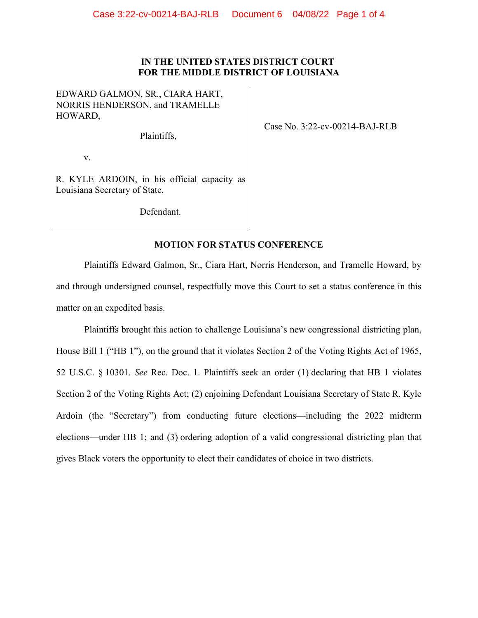#### **IN THE UNITED STATES DISTRICT COURT FOR THE MIDDLE DISTRICT OF LOUISIANA**

EDWARD GALMON, SR., CIARA HART, NORRIS HENDERSON, and TRAMELLE HOWARD,

Plaintiffs,

Case No. 3:22-cv-00214-BAJ-RLB

v.

R. KYLE ARDOIN, in his official capacity as Louisiana Secretary of State,

Defendant.

## **MOTION FOR STATUS CONFERENCE**

Plaintiffs Edward Galmon, Sr., Ciara Hart, Norris Henderson, and Tramelle Howard, by and through undersigned counsel, respectfully move this Court to set a status conference in this matter on an expedited basis.

Plaintiffs brought this action to challenge Louisiana's new congressional districting plan, House Bill 1 ("HB 1"), on the ground that it violates Section 2 of the Voting Rights Act of 1965, 52 U.S.C. § 10301. *See* Rec. Doc. 1. Plaintiffs seek an order (1) declaring that HB 1 violates Section 2 of the Voting Rights Act; (2) enjoining Defendant Louisiana Secretary of State R. Kyle Ardoin (the "Secretary") from conducting future elections—including the 2022 midterm elections—under HB 1; and (3) ordering adoption of a valid congressional districting plan that gives Black voters the opportunity to elect their candidates of choice in two districts.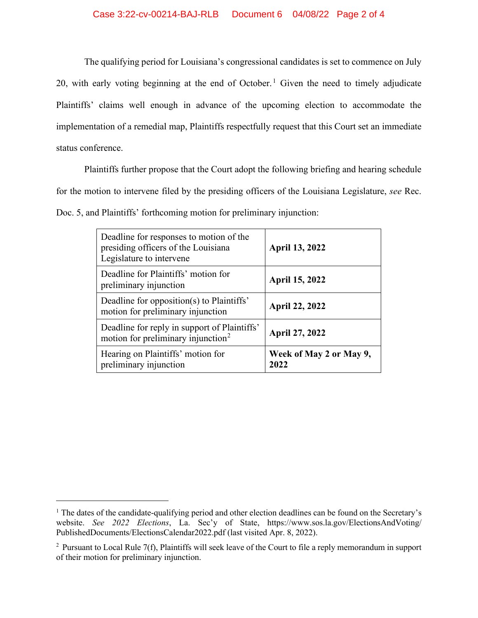The qualifying period for Louisiana's congressional candidates is set to commence on July 20, with early voting beginning at the end of October. [1](#page-1-0) Given the need to timely adjudicate Plaintiffs' claims well enough in advance of the upcoming election to accommodate the implementation of a remedial map, Plaintiffs respectfully request that this Court set an immediate status conference.

Plaintiffs further propose that the Court adopt the following briefing and hearing schedule for the motion to intervene filed by the presiding officers of the Louisiana Legislature, *see* Rec. Doc. 5, and Plaintiffs' forthcoming motion for preliminary injunction:

| Deadline for responses to motion of the<br>presiding officers of the Louisiana<br>Legislature to intervene | <b>April 13, 2022</b>           |
|------------------------------------------------------------------------------------------------------------|---------------------------------|
| Deadline for Plaintiffs' motion for<br>preliminary injunction                                              | <b>April 15, 2022</b>           |
| Deadline for opposition(s) to Plaintiffs'<br>motion for preliminary injunction                             | <b>April 22, 2022</b>           |
| Deadline for reply in support of Plaintiffs'<br>motion for preliminary injunction <sup>2</sup>             | <b>April 27, 2022</b>           |
| Hearing on Plaintiffs' motion for<br>preliminary injunction                                                | Week of May 2 or May 9,<br>2022 |

<span id="page-1-0"></span><sup>&</sup>lt;sup>1</sup> The dates of the candidate-qualifying period and other election deadlines can be found on the Secretary's website. *See 2022 Elections*, La. Sec'y of State, https://www.sos.la.gov/ElectionsAndVoting/ PublishedDocuments/ElectionsCalendar2022.pdf (last visited Apr. 8, 2022).

<span id="page-1-1"></span><sup>&</sup>lt;sup>2</sup> Pursuant to Local Rule  $7(f)$ , Plaintiffs will seek leave of the Court to file a reply memorandum in support of their motion for preliminary injunction.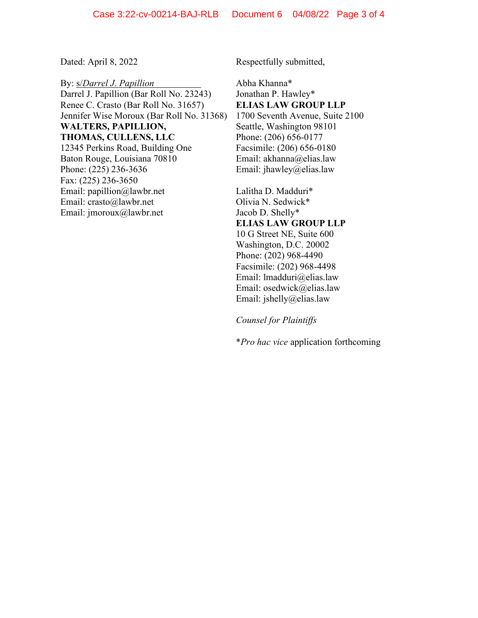By: s/*Darrel J. Papillion* Darrel J. Papillion (Bar Roll No. 23243) Renee C. Crasto (Bar Roll No. 31657) Jennifer Wise Moroux (Bar Roll No. 31368) **WALTERS, PAPILLION, THOMAS, CULLENS, LLC** 12345 Perkins Road, Building One Baton Rouge, Louisiana 70810 Phone: (225) 236-3636 Fax: (225) 236-3650 Email: papillion@lawbr.net Email: crasto@lawbr.net Email: jmoroux@lawbr.net

Dated: April 8, 2022 Respectfully submitted,

Abha Khanna\* Jonathan P. Hawley\* **ELIAS LAW GROUP LLP** 1700 Seventh Avenue, Suite 2100 Seattle, Washington 98101 Phone: (206) 656-0177 Facsimile: (206) 656-0180 Email: akhanna@elias.law Email: jhawley@elias.law

Lalitha D. Madduri\* Olivia N. Sedwick\* Jacob D. Shelly\* **ELIAS LAW GROUP LLP** 10 G Street NE, Suite 600 Washington, D.C. 20002 Phone: (202) 968-4490 Facsimile: (202) 968-4498 Email: lmadduri@elias.law Email: osedwick@elias.law Email: jshelly@elias.law

*Counsel for Plaintiffs*

\**Pro hac vice* application forthcoming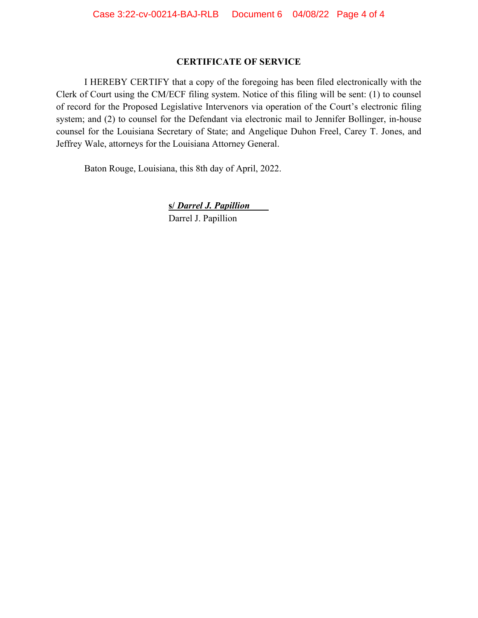## **CERTIFICATE OF SERVICE**

I HEREBY CERTIFY that a copy of the foregoing has been filed electronically with the Clerk of Court using the CM/ECF filing system. Notice of this filing will be sent: (1) to counsel of record for the Proposed Legislative Intervenors via operation of the Court's electronic filing system; and (2) to counsel for the Defendant via electronic mail to Jennifer Bollinger, in-house counsel for the Louisiana Secretary of State; and Angelique Duhon Freel, Carey T. Jones, and Jeffrey Wale, attorneys for the Louisiana Attorney General.

Baton Rouge, Louisiana, this 8th day of April, 2022.

**s/** *Darrel J. Papillion*\_\_\_\_ Darrel J. Papillion